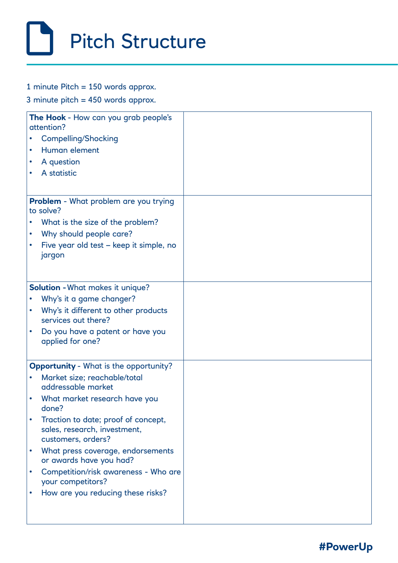## Pitch Structure

1 minute Pitch = 150 words approx.

3 minute pitch = 450 words approx.

| The Hook - How can you grab people's<br>attention?        |                                                                                           |  |
|-----------------------------------------------------------|-------------------------------------------------------------------------------------------|--|
|                                                           | <b>Compelling/Shocking</b>                                                                |  |
|                                                           | Human element                                                                             |  |
|                                                           | A question                                                                                |  |
|                                                           | A statistic                                                                               |  |
|                                                           |                                                                                           |  |
| <b>Problem</b> - What problem are you trying<br>to solve? |                                                                                           |  |
|                                                           | What is the size of the problem?                                                          |  |
|                                                           | Why should people care?                                                                   |  |
|                                                           | Five year old test – keep it simple, no                                                   |  |
|                                                           | jargon                                                                                    |  |
|                                                           |                                                                                           |  |
| <b>Solution - What makes it unique?</b>                   |                                                                                           |  |
|                                                           | Why's it a game changer?                                                                  |  |
|                                                           | Why's it different to other products<br>services out there?                               |  |
|                                                           | Do you have a patent or have you<br>applied for one?                                      |  |
| <b>Opportunity - What is the opportunity?</b>             |                                                                                           |  |
|                                                           | Market size; reachable/total<br>addressable market                                        |  |
|                                                           | What market research have you<br>done?                                                    |  |
|                                                           | Traction to date; proof of concept,<br>sales, research, investment,<br>customers, orders? |  |
|                                                           | What press coverage, endorsements<br>or awards have you had?                              |  |
|                                                           | Competition/risk awareness - Who are<br>your competitors?                                 |  |
|                                                           | How are you reducing these risks?                                                         |  |
|                                                           |                                                                                           |  |